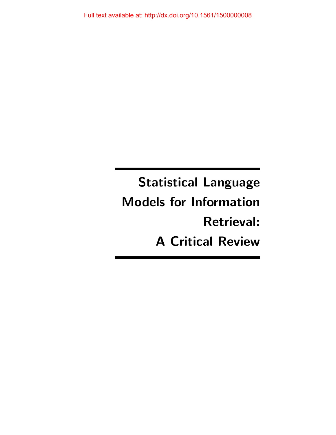Statistical Language Models for Information Retrieval: A Critical Review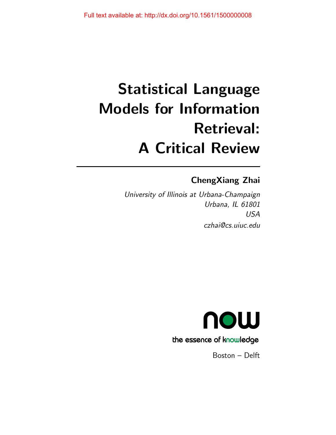# Statistical Language Models for Information Retrieval: A Critical Review

# ChengXiang Zhai

University of Illinois at Urbana-Champaign Urbana, IL 61801 USA czhai@cs.uiuc.edu



Boston – Delft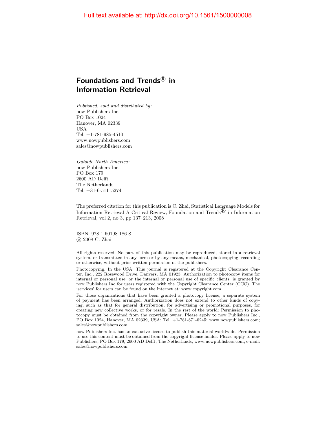# Foundations and Trends ${}^{\text{\textregistered}}$  in Information Retrieval

Published, sold and distributed by: now Publishers Inc. PO Box 1024 Hanover, MA 02339 USA Tel. +1-781-985-4510 www.nowpublishers.com sales@nowpublishers.com

Outside North America: now Publishers Inc. PO Box 179 2600 AD Delft The Netherlands Tel. +31-6-51115274

The preferred citation for this publication is C. Zhai, Statistical Language Models for Information Retrieval A Critical Review, Foundation and Trends<sup> $\mathbb{R}$ </sup> in Information Retrieval, vol 2, no 3, pp 137–213, 2008

ISBN: 978-1-60198-186-8 c 2008 C. Zhai

All rights reserved. No part of this publication may be reproduced, stored in a retrieval system, or transmitted in any form or by any means, mechanical, photocopying, recording or otherwise, without prior written permission of the publishers.

Photocopying. In the USA: This journal is registered at the Copyright Clearance Center, Inc., 222 Rosewood Drive, Danvers, MA 01923. Authorization to photocopy items for internal or personal use, or the internal or personal use of specific clients, is granted by now Publishers Inc for users registered with the Copyright Clearance Center (CCC). The 'services' for users can be found on the internet at: www.copyright.com

For those organizations that have been granted a photocopy license, a separate system of payment has been arranged. Authorization does not extend to other kinds of copying, such as that for general distribution, for advertising or promotional purposes, for creating new collective works, or for resale. In the rest of the world: Permission to photocopy must be obtained from the copyright owner. Please apply to now Publishers Inc., PO Box 1024, Hanover, MA 02339, USA; Tel. +1-781-871-0245; www.nowpublishers.com; sales@nowpublishers.com

now Publishers Inc. has an exclusive license to publish this material worldwide. Permission to use this content must be obtained from the copyright license holder. Please apply to now Publishers, PO Box 179, 2600 AD Delft, The Netherlands, www.nowpublishers.com; e-mail: sales@nowpublishers.com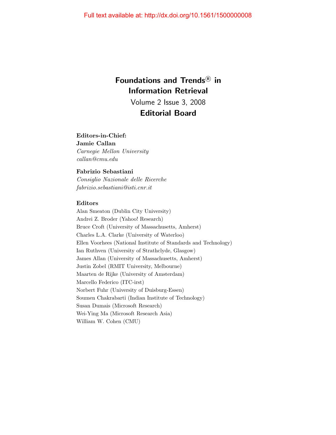# Foundations and Trends<sup>®</sup> in Information Retrieval

Volume 2 Issue 3, 2008 Editorial Board

### Editors-in-Chief:

Jamie Callan Carnegie Mellon University callan@cmu.edu

### Fabrizio Sebastiani

Consiglio Nazionale delle Ricerche fabrizio.sebastiani@isti.cnr.it

### Editors

Alan Smeaton (Dublin City University) Andrei Z. Broder (Yahoo! Research) Bruce Croft (University of Massachusetts, Amherst) Charles L.A. Clarke (University of Waterloo) Ellen Voorhees (National Institute of Standards and Technology) Ian Ruthven (University of Strathclyde, Glasgow) James Allan (University of Massachusetts, Amherst) Justin Zobel (RMIT University, Melbourne) Maarten de Rijke (University of Amsterdam) Marcello Federico (ITC-irst) Norbert Fuhr (University of Duisburg-Essen) Soumen Chakrabarti (Indian Institute of Technology) Susan Dumais (Microsoft Research) Wei-Ying Ma (Microsoft Research Asia) William W. Cohen (CMU)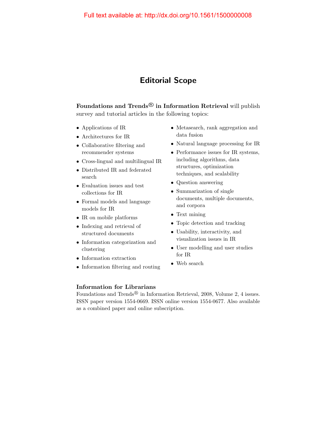# Editorial Scope

Foundations and Trends $^{\textcircled{\textrm{B}}}$  in Information Retrieval will publish survey and tutorial articles in the following topics:

- Applications of IR
- Architectures for IR
- Collaborative filtering and recommender systems
- Cross-lingual and multilingual IR
- Distributed IR and federated search
- Evaluation issues and test collections for IR
- Formal models and language models for IR
- IR on mobile platforms
- Indexing and retrieval of structured documents
- Information categorization and clustering
- Information extraction
- Information filtering and routing
- Metasearch, rank aggregation and data fusion
- Natural language processing for IR
- Performance issues for IR systems, including algorithms, data structures, optimization techniques, and scalability
- Question answering
- Summarization of single documents, multiple documents, and corpora
- Text mining
- Topic detection and tracking
- Usability, interactivity, and visualization issues in IR
- User modelling and user studies for IR
- Web search

### Information for Librarians

Foundations and Trends<sup>®</sup> in Information Retrieval, 2008, Volume 2, 4 issues. ISSN paper version 1554-0669. ISSN online version 1554-0677. Also available as a combined paper and online subscription.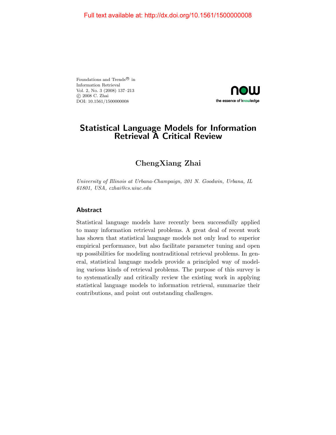Foundations and Trends<br> $^{\circledR}$  in Information Retrieval Vol. 2, No. 3 (2008) 137–213 c 2008 C. Zhai DOI: 10.1561/1500000008



## Statistical Language Models for Information Retrieval A Critical Review

## ChengXiang Zhai

University of Illinois at Urbana-Champaign, 201 N. Goodwin, Urbana, IL 61801, USA, czhai@cs.uiuc.edu

### Abstract

Statistical language models have recently been successfully applied to many information retrieval problems. A great deal of recent work has shown that statistical language models not only lead to superior empirical performance, but also facilitate parameter tuning and open up possibilities for modeling nontraditional retrieval problems. In general, statistical language models provide a principled way of modeling various kinds of retrieval problems. The purpose of this survey is to systematically and critically review the existing work in applying statistical language models to information retrieval, summarize their contributions, and point out outstanding challenges.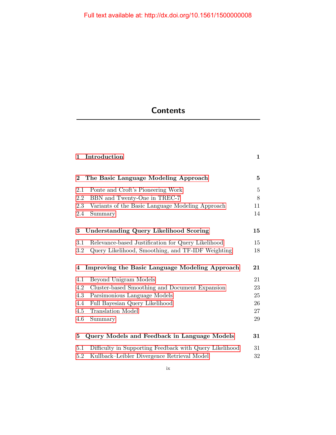# **Contents**

| Introduction<br>1                                              | $\mathbf{1}$   |
|----------------------------------------------------------------|----------------|
| The Basic Language Modeling Approach<br>$\bf{2}$               | 5              |
| 2.1<br>Ponte and Croft's Pioneering Work                       | $\overline{5}$ |
| BBN and Twenty-One in TREC-7<br>2.2                            | 8              |
| Variants of the Basic Language Modeling Approach<br>2.3        | 11             |
| 2.4<br>Summary                                                 | 14             |
| <b>Understanding Query Likelihood Scoring</b><br>3             | 15             |
| Relevance-based Justification for Query Likelihood<br>3.1      | 15             |
| Query Likelihood, Smoothing, and TF-IDF Weighting<br>$3.2\,$   | 18             |
| Improving the Basic Language Modeling Approach<br>4            | $\bf{21}$      |
| Beyond Unigram Models<br>4.1                                   | 21             |
| 4.2<br>Cluster-based Smoothing and Document Expansion          | 23             |
| 4.3<br>Parsimonious Language Models                            | 25             |
| 4.4<br>Full Bayesian Query Likelihood                          | 26             |
| <b>Translation Model</b><br>4.5                                | 27             |
| 4.6<br>Summary                                                 | 29             |
| Query Models and Feedback in Language Models<br>5              | 31             |
| Difficulty in Supporting Feedback with Query Likelihood<br>5.1 | 31             |
| Kullback-Leibler Divergence Retrieval Model<br>5.2             | 32             |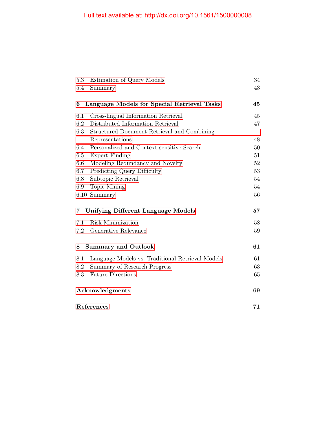| 5.3             | Estimation of Query Models                       | 34 |
|-----------------|--------------------------------------------------|----|
| 5.4             | Summary                                          | 43 |
|                 |                                                  |    |
| 6               | Language Models for Special Retrieval Tasks      | 45 |
| 6.1             | Cross-lingual Information Retrieval              | 45 |
| 6.2             | Distributed Information Retrieval                | 47 |
| 6.3             | Structured Document Retrieval and Combining      |    |
|                 | Representations                                  | 48 |
| 6.4             | Personalized and Context-sensitive Search        | 50 |
| 6.5             | Expert Finding                                   | 51 |
| $6.6\,$         | Modeling Redundancy and Novelty                  | 52 |
| 6.7             | Predicting Query Difficulty                      | 53 |
| 6.8             | Subtopic Retrieval                               | 54 |
| 6.9             | Topic Mining                                     | 54 |
|                 | 6.10 Summary                                     | 56 |
| 7               | <b>Unifying Different Language Models</b>        | 57 |
| 7.1             | Risk Minimization                                | 58 |
| 7.2             | Generative Relevance                             | 59 |
| 8               | <b>Summary and Outlook</b>                       | 61 |
|                 |                                                  |    |
| 8.1             | Language Models vs. Traditional Retrieval Models | 61 |
| 8.2             | Summary of Research Progress                     | 63 |
| 8.3             | <b>Future Directions</b>                         | 65 |
| Acknowledgments |                                                  | 69 |
|                 | References                                       | 71 |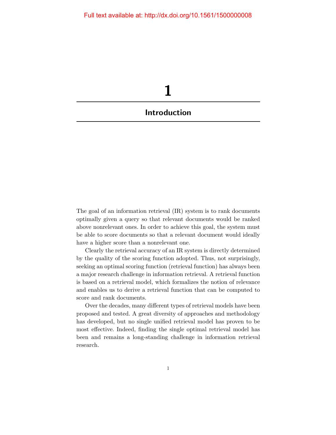<span id="page-8-0"></span>

The goal of an information retrieval (IR) system is to rank documents optimally given a query so that relevant documents would be ranked above nonrelevant ones. In order to achieve this goal, the system must be able to score documents so that a relevant document would ideally have a higher score than a nonrelevant one.

Clearly the retrieval accuracy of an IR system is directly determined by the quality of the scoring function adopted. Thus, not surprisingly, seeking an optimal scoring function (retrieval function) has always been a major research challenge in information retrieval. A retrieval function is based on a retrieval model, which formalizes the notion of relevance and enables us to derive a retrieval function that can be computed to score and rank documents.

Over the decades, many different types of retrieval models have been proposed and tested. A great diversity of approaches and methodology has developed, but no single unified retrieval model has proven to be most effective. Indeed, finding the single optimal retrieval model has been and remains a long-standing challenge in information retrieval research.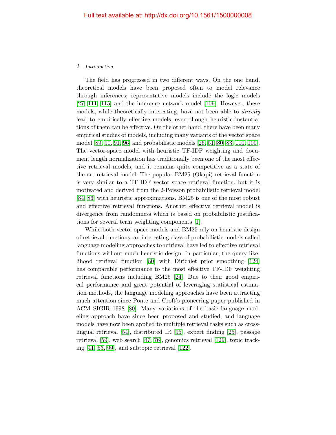### 2 Introduction

The field has progressed in two different ways. On the one hand, theoretical models have been proposed often to model relevance through inferences; representative models include the logic models [\[27,](#page-13-0) [111,](#page-18-0) [115\]](#page-18-1) and the inference network model [\[109\]](#page-18-2). However, these models, while theoretically interesting, have not been able to *directly* lead to empirically effective models, even though heuristic instantiations of them can be effective. On the other hand, there have been many empirical studies of models, including many variants of the vector space model [\[89,](#page-16-0) [90,](#page-16-1) [91,](#page-16-2) [96\]](#page-17-0) and probabilistic models [\[26,](#page-12-0) [51,](#page-14-0) [80,](#page-16-3) [83,](#page-16-4) [110,](#page-18-3) [109\]](#page-18-2). The vector-space model with heuristic TF-IDF weighting and document length normalization has traditionally been one of the most effective retrieval models, and it remains quite competitive as a state of the art retrieval model. The popular BM25 (Okapi) retrieval function is very similar to a TF-IDF vector space retrieval function, but it is motivated and derived from the 2-Poisson probabilistic retrieval model [\[84,](#page-16-5) [86\]](#page-16-6) with heuristic approximations. BM25 is one of the most robust and effective retrieval functions. Another effective retrieval model is divergence from randomness which is based on probabilistic justifications for several term weighting components [\[1\]](#page-11-0).

While both vector space models and BM25 rely on heuristic design of retrieval functions, an interesting class of probabilistic models called language modeling approaches to retrieval have led to effective retrieval functions without much heuristic design. In particular, the query likelihood retrieval function [\[80\]](#page-16-3) with Dirichlet prior smoothing [\[124\]](#page-19-0) has comparable performance to the most effective TF-IDF weighting retrieval functions including BM25 [\[24\]](#page-12-1). Due to their good empirical performance and great potential of leveraging statistical estimation methods, the language modeling approaches have been attracting much attention since Ponte and Croft's pioneering paper published in ACM SIGIR 1998 [\[80\]](#page-16-3). Many variations of the basic language modeling approach have since been proposed and studied, and language models have now been applied to multiple retrieval tasks such as crosslingual retrieval [\[54\]](#page-14-1), distributed IR [\[95\]](#page-17-1), expert finding [\[25\]](#page-12-2), passage retrieval [\[59\]](#page-14-2), web search [\[47,](#page-14-3) [76\]](#page-16-7), genomics retrieval [\[129\]](#page-19-1), topic tracking [\[41,](#page-13-1) [53,](#page-14-4) [99\]](#page-17-2), and subtopic retrieval [\[122\]](#page-18-4).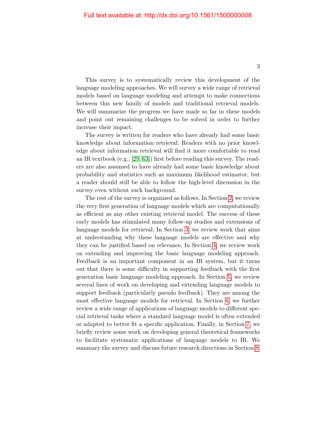This survey is to systematically review this development of the language modeling approaches. We will survey a wide range of retrieval models based on language modeling and attempt to make connections between this new family of models and traditional retrieval models. We will summarize the progress we have made so far in these models and point out remaining challenges to be solved in order to further increase their impact.

The survey is written for readers who have already had some basic knowledge about information retrieval. Readers with no prior knowledge about information retrieval will find it more comfortable to read an IR textbook (e.g., [\[29,](#page-13-2) [63\]](#page-15-0)) first before reading this survey. The readers are also assumed to have already had some basic knowledge about probability and statistics such as maximum likelihood estimator, but a reader should still be able to follow the high-level discussion in the survey even without such background.

The rest of the survey is organized as follows. In Section [2,](#page--1-0) we review the very first generation of language models which are computationally as efficient as any other existing retrieval model. The success of these early models has stimulated many follow-up studies and extensions of language models for retrieval. In Section [3,](#page--1-0) we review work that aims at understanding why these language models are effective and why they can be justified based on relevance. In Section [4,](#page--1-0) we review work on extending and improving the basic language modeling approach. Feedback is an important component in an IR system, but it turns out that there is some difficulty in supporting feedback with the first generation basic language modeling approach. In Section [5,](#page--1-0) we review several lines of work on developing and extending language models to support feedback (particularly pseudo feedback). They are among the most effective language models for retrieval. In Section [6,](#page--1-0) we further review a wide range of applications of language models to different special retrieval tasks where a standard language model is often extended or adapted to better fit a specific application. Finally, in Section [7,](#page--1-0) we briefly review some work on developing general theoretical frameworks to facilitate systematic applications of language models to IR. We summary the survey and discuss future research directions in Section [8.](#page--1-0)

3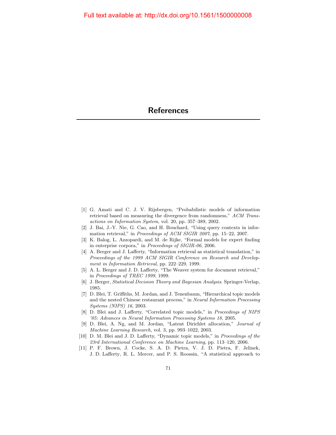- <span id="page-11-0"></span>[1] G. Amati and C. J. V. Rijsbergen, "Probabilistic models of information retrieval based on measuring the divergence from randomness," ACM Transactions on Information System, vol. 20, pp. 357–389, 2002.
- [2] J. Bai, J.-Y. Nie, G. Cao, and H. Bouchard, "Using query contexts in information retrieval," in Proceedings of ACM SIGIR 2007, pp. 15–22, 2007.
- [3] K. Balog, L. Azzopardi, and M. de Rijke, "Formal models for expert finding in enterprise corpora," in Proceedings of SIGIR-06, 2006.
- [4] A. Berger and J. Lafferty, "Information retrieval as statistical translation," in Proceedings of the 1999 ACM SIGIR Conference on Research and Development in Information Retrieval, pp. 222–229, 1999.
- [5] A. L. Berger and J. D. Lafferty, "The Weaver system for document retrieval," in Proceedings of TREC 1999, 1999.
- [6] J. Berger, Statistical Decision Theory and Bayesian Analysis. Springer-Verlap, 1985.
- [7] D. Blei, T. Griffiths, M. Jordan, and J. Tenenbaum, "Hierarchical topic models and the nested Chinese restaurant process," in Neural Information Processing Systems (NIPS) 16, 2003.
- [8] D. Blei and J. Lafferty, "Correlated topic models," in *Proceedings of NIPS* '05: Advances in Neural Information Processing Systems 18, 2005.
- [9] D. Blei, A. Ng, and M. Jordan, "Latent Dirichlet allocation," Journal of Machine Learning Research, vol. 3, pp. 993–1022, 2003.
- [10] D. M. Blei and J. D. Lafferty, "Dynamic topic models," in Proceedings of the 23rd International Conference on Machine Learning, pp. 113–120, 2006.
- [11] P. F. Brown, J. Cocke, S. A. D. Pietra, V. J. D. Pietra, F. Jelinek, J. D. Lafferty, R. L. Mercer, and P. S. Roossin, "A statistical approach to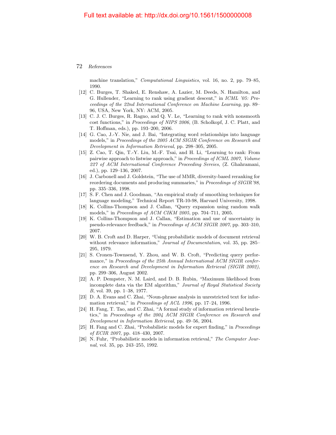machine translation," Computational Linguistics, vol. 16, no. 2, pp. 79–85, 1990.

- [12] C. Burges, T. Shaked, E. Renshaw, A. Lazier, M. Deeds, N. Hamilton, and G. Hullender, "Learning to rank using gradient descent," in ICML '05: Proceedings of the 22nd International Conference on Machine Learning, pp. 89– 96, USA, New York, NY: ACM, 2005.
- [13] C. J. C. Burges, R. Ragno, and Q. V. Le, "Learning to rank with nonsmooth cost functions," in Proceedings of NIPS 2006, (B. Scholkopf, J. C. Platt, and T. Hoffman, eds.), pp. 193–200, 2006.
- [14] G. Cao, J.-Y. Nie, and J. Bai, "Integrating word relationships into language models," in Proceedings of the 2005 ACM SIGIR Conference on Research and Development in Information Retrieval, pp. 298–305, 2005.
- [15] Z. Cao, T. Qin, T.-Y. Liu, M.-F. Tsai, and H. Li, "Learning to rank: From pairwise approach to listwise approach," in Proceedings of ICML 2007, Volume 227 of ACM International Conference Proceeding Sereies, (Z. Ghahramani, ed.), pp. 129–136, 2007.
- [16] J. Carbonell and J. Goldstein, "The use of MMR, diversity-based reranking for reordering documents and producing summaries," in Proceedings of SIGIR'98, pp. 335–336, 1998.
- [17] S. F. Chen and J. Goodman, "An empirical study of smoothing techniques for language modeling," Technical Report TR-10-98, Harvard University, 1998.
- [18] K. Collins-Thompson and J. Callan, "Query expansion using random walk models," in *Proceedings of ACM CIKM 2005*, pp. 704–711, 2005.
- [19] K. Collins-Thompson and J. Callan, "Estimation and use of uncertainty in pseudo-relevance feedback," in Proceedings of ACM SIGIR 2007, pp. 303–310, 2007.
- [20] W. B. Croft and D. Harper, "Using probabilistic models of document retrieval without relevance information," *Journal of Documentation*, vol. 35, pp. 285– 295, 1979.
- [21] S. Cronen-Townsend, Y. Zhou, and W. B. Croft, "Predicting query performance," in Proceedings of the 25th Annual International ACM SIGIR conference on Research and Development in Information Retrieval (SIGIR 2002), pp. 299–306, August 2002.
- [22] A. P. Dempster, N. M. Laird, and D. B. Rubin, "Maximum likelihood from incomplete data via the EM algorithm," Journal of Royal Statistical Society B, vol. 39, pp. 1–38, 1977.
- [23] D. A. Evans and C. Zhai, "Noun-phrase analysis in unrestricted text for information retrieval," in Proceedings of ACL 1996, pp. 17–24, 1996.
- <span id="page-12-1"></span>[24] H. Fang, T. Tao, and C. Zhai, "A formal study of information retrieval heuristics," in Proceedings of the 2004 ACM SIGIR Conference on Research and Development in Information Retrieval, pp. 49–56, 2004.
- <span id="page-12-2"></span>[25] H. Fang and C. Zhai, "Probabilistic models for expert finding," in Proceedings of ECIR 2007, pp. 418–430, 2007.
- <span id="page-12-0"></span>[26] N. Fuhr, "Probabilistic models in information retrieval," The Computer Journal, vol. 35, pp. 243–255, 1992.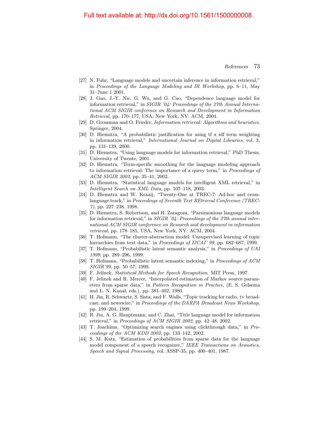- <span id="page-13-0"></span>[27] N. Fuhr, "Language models and uncertain inference in information retrieval," in Proceedings of the Language Modeling and IR Workshop, pp. 6–11, May 31–June 1 2001.
- [28] J. Gao, J.-Y. Nie, G. Wu, and G. Cao, "Dependence language model for information retrieval," in SIGIR '04: Proceedings of the 27th Annual International ACM SIGIR conference on Research and Development in Information Retrieval, pp. 170–177, USA, New York, NY: ACM, 2004.
- <span id="page-13-2"></span>[29] D. Grossman and O. Frieder, Information retrieval: Algorithms and heuristics. Springer, 2004.
- [30] D. Hiemstra, "A probabilistic justification for using tf x idf term weighting in information retrieval," International Journal on Digital Libraries, vol. 3, pp. 131–139, 2000.
- [31] D. Hiemstra, "Using language models for information retrieval," PhD Thesis, University of Twente, 2001.
- [32] D. Hiemstra, "Term-specific smoothing for the language modeling approach to information retrieval: The importance of a query term," in Proceedings of ACM SIGIR 2002, pp. 35–41, 2002.
- [33] D. Hiemstra, "Statistical language models for intelligent XML retrieval," in Intelligent Search on XML Data, pp. 107–118, 2003.
- [34] D. Hiemstra and W. Kraaij, "Twenty-One at TREC-7: Ad-hoc and crosslanguage track," in Proceedings of Seventh Text REtrieval Conference (TREC-7), pp. 227–238, 1998.
- [35] D. Hiemstra, S. Robertson, and H. Zaragoza, "Parsimonious language models for information retrieval," in SIGIR '04: Proceedings of the 27th annual international ACM SIGIR conference on Research and development in information retrieval, pp. 178–185, USA, New York, NY: ACM, 2004.
- [36] T. Hofmann, "The cluster-abstraction model: Unsupervised learning of topic hierarchies from text data," in Proceedings of IJCAI' 99, pp. 682–687, 1999.
- [37] T. Hofmann, "Probabilistic latent semantic analysis," in Proceedings of UAI 1999, pp. 289–296, 1999.
- [38] T. Hofmann, "Probabilistic latent semantic indexing," in Proceedings of ACM SIGIR'99, pp. 50–57, 1999.
- [39] F. Jelinek, Statistical Methods for Speech Recognition. MIT Press, 1997.
- [40] F. Jelinek and R. Mercer, "Interpolated estimation of Markov source parameters from sparse data," in Pattern Recognition in Practice, (E. S. Gelsema and L. N. Kanal, eds.), pp. 381–402, 1980.
- <span id="page-13-1"></span>[41] H. Jin, R. Schwartz, S. Sista, and F. Walls, "Topic tracking for radio, tv broadcast, and newswire," in Proceedings of the DARPA Broadcast News Workshop, pp. 199–204, 1999.
- [42] R. Jin, A. G. Hauptmann, and C. Zhai, "Title language model for information retrieval," in Proceedings of ACM SIGIR 2002, pp. 42–48, 2002.
- [43] T. Joachims, "Optimizing search engines using clickthrough data," in Proceedings of the ACM KDD 2002, pp. 133–142, 2002.
- [44] S. M. Katz, "Estimation of probabilities from sparse data for the language model component of a speech recognizer," IEEE Transactions on Acoustics, Speech and Signal Processing, vol. ASSP-35, pp. 400–401, 1987.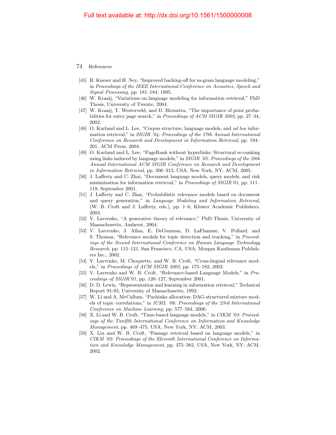- [45] R. Kneser and H. Ney, "Improved backing-off for m-gram language modeling," in Proceedings of the IEEE International Conference on Acoustics, Speech and Signal Processing, pp. 181–184, 1995.
- [46] W. Kraaij, "Variations on language modeling for information retrieval," PhD Thesis, University of Twente, 2004.
- <span id="page-14-3"></span>[47] W. Kraaij, T. Westerveld, and D. Hiemstra, "The importance of prior probabilities for entry page search," in Proceedings of ACM SIGIR 2002, pp. 27–34, 2002.
- [48] O. Kurland and L. Lee, "Corpus structure, language models, and ad hoc information retrieval," in SIGIR '04: Proceedings of the 27th Annual International Conference on Research and Development in Information Retrieval, pp. 194– 201, ACM Press, 2004.
- [49] O. Kurland and L. Lee, "PageRank without hyperlinks: Structural re-ranking using links induced by language models," in SIGIR '05: Proceedings of the 28th Annual International ACM SIGIR Conference on Research and Development in Information Retrieval, pp. 306–313, USA, New York, NY: ACM, 2005.
- [50] J. Lafferty and C. Zhai, "Document language models, query models, and risk minimization for information retrieval," in *Proceedings of SIGIR'01*, pp. 111-119, September 2001.
- <span id="page-14-0"></span>[51] J. Lafferty and C. Zhai, "Probabilistic relevance models based on document and query generation," in Language Modeling and Information Retrieval, (W. B. Croft and J. Lafferty, eds.), pp. 1–6, Kluwer Academic Publishers, 2003.
- [52] V. Lavrenko, "A generative theory of relevance," PhD Thesis, University of Massachusetts, Amherst, 2004.
- <span id="page-14-4"></span>[53] V. Lavrenko, J. Allan, E. DeGuzman, D. LaFlamme, V. Pollard, and S. Thomas, "Relevance models for topic detection and tracking," in Proceedings of the Second International Conference on Human Language Technology Research, pp. 115–121, San Francisco, CA, USA: Morgan Kaufmann Publishers Inc., 2002.
- <span id="page-14-1"></span>[54] V. Lavrenko, M. Choquette, and W. B. Croft, "Cross-lingual relevance models," in Proceedings of ACM SIGIR 2002, pp. 175–182, 2002.
- [55] V. Lavrenko and W. B. Croft, "Relevance-based Language Models," in Proceedings of SIGIR'01, pp. 120–127, September 2001.
- [56] D. D. Lewis, "Representation and learning in information retrieval," Technical Report 91-93, University of Massachusetts, 1992.
- [57] W. Li and A. McCallum, "Pachinko allocation: DAG-structured mixture models of topic correlations," in ICML '06: Proceedings of the 23rd International Conference on Machine Learning, pp. 577–584, 2006.
- [58] X. Li and W. B. Croft, "Time-based language models," in CIKM '03: Proceedings of the Twelfth International Conference on Information and Knowledge Management, pp. 469–475, USA, New York, NY: ACM, 2003.
- <span id="page-14-2"></span>[59] X. Liu and W. B. Croft, "Passage retrieval based on language models," in CIKM '02: Proceedings of the Eleventh International Conference on Information and Knowledge Management, pp. 375–382, USA, New York, NY: ACM, 2002.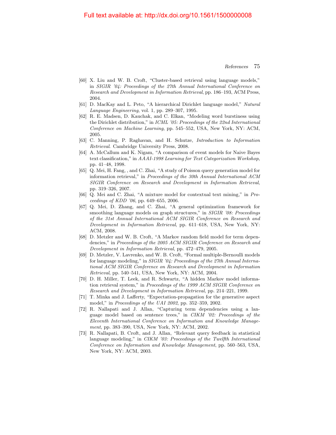- [60] X. Liu and W. B. Croft, "Cluster-based retrieval using language models," in SIGIR '04: Proceedings of the 27th Annual International Conference on Research and Development in Information Retrieval, pp. 186–193, ACM Press, 2004.
- [61] D. MacKay and L. Peto, "A hierarchical Dirichlet language model," Natural Language Engineering, vol. 1, pp. 289–307, 1995.
- [62] R. E. Madsen, D. Kauchak, and C. Elkan, "Modeling word burstiness using the Dirichlet distribution," in ICML '05: Proceedings of the 22nd International Conference on Machine Learning, pp. 545–552, USA, New York, NY: ACM, 2005.
- <span id="page-15-0"></span>[63] C. Manning, P. Raghavan, and H. Schutze, Introduction to Information Retrieval. Cambridge University Press, 2008.
- [64] A. McCallum and K. Nigam, "A comparison of event models for Naive Bayes text classification," in AAAI-1998 Learning for Text Categorization Workshop, pp. 41–48, 1998.
- [65] Q. Mei, H. Fang, , and C. Zhai, "A study of Poisson query generation model for information retrieval," in Proceedings of the 30th Annual International ACM SIGIR Conference on Research and Development in Information Retrieval, pp. 319–326, 2007.
- [66] Q. Mei and C. Zhai, "A mixture model for contextual text mining," in Proceedings of KDD '06, pp. 649–655, 2006.
- [67] Q. Mei, D. Zhang, and C. Zhai, "A general optimization framework for smoothing language models on graph structures," in *SIGIR '08: Proceedings* of the 31st Annual International ACM SIGIR Conference on Research and Development in Information Retrieval, pp. 611–618, USA, New York, NY: ACM, 2008.
- [68] D. Metzler and W. B. Croft, "A Markov random field model for term dependencies," in Proceedings of the 2005 ACM SIGIR Conference on Research and Development in Information Retrieval, pp. 472–479, 2005.
- [69] D. Metzler, V. Lavrenko, and W. B. Croft, "Formal multiple-Bernoulli models for language modeling," in SIGIR '04: Proceedings of the 27th Annual International ACM SIGIR Conference on Research and Development in Information Retrieval, pp. 540–541, USA, New York, NY: ACM, 2004.
- [70] D. H. Miller, T. Leek, and R. Schwartz, "A hidden Markov model information retrieval system," in Proceedings of the 1999 ACM SIGIR Conference on Research and Development in Information Retrieval, pp. 214–221, 1999.
- [71] T. Minka and J. Lafferty, "Expectation-propagation for the generative aspect model," in Proceedings of the UAI 2002, pp. 352–359, 2002.
- [72] R. Nallapati and J. Allan, "Capturing term dependencies using a language model based on sentence trees," in CIKM '02: Proceedings of the Eleventh International Conference on Information and Knowledge Management, pp. 383–390, USA, New York, NY: ACM, 2002.
- [73] R. Nallapati, B. Croft, and J. Allan, "Relevant query feedback in statistical language modeling," in CIKM '03: Proceedings of the Twelfth International Conference on Information and Knowledge Management, pp. 560–563, USA, New York, NY: ACM, 2003.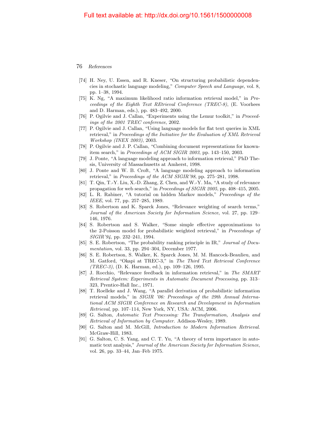- [74] H. Ney, U. Essen, and R. Kneser, "On structuring probabilistic dependencies in stochastic language modeling," Computer Speech and Language, vol. 8, pp. 1–38, 1994.
- [75] K. Ng, "A maximum likelihood ratio information retrieval model," in Proceedings of the Eighth Text REtrieval Conference (TREC-8), (E. Voorhees and D. Harman, eds.), pp. 483–492, 2000.
- <span id="page-16-7"></span>[76] P. Ogilvie and J. Callan, "Experiments using the Lemur toolkit," in Proceedings of the 2001 TREC conference, 2002.
- [77] P. Ogilvie and J. Callan, "Using language models for flat text queries in XML retrieval," in Proceedings of the Initiative for the Evaluation of XML Retrieval Workshop (INEX 2003), 2003.
- [78] P. Ogilvie and J. P. Callan, "Combining document representations for knownitem search," in Proceedings of ACM SIGIR 2003, pp. 143–150, 2003.
- [79] J. Ponte, "A language modeling approach to information retrieval," PhD Thesis, University of Massachusetts at Amherst, 1998.
- <span id="page-16-3"></span>[80] J. Ponte and W. B. Croft, "A language modeling approach to information retrieval," in Proceedings of the ACM SIGIR'98, pp. 275–281, 1998.
- [81] T. Qin, T.-Y. Liu, X.-D. Zhang, Z. Chen, and W.-Y. Ma, "A study of relevance propagation for web search," in Proceedings of SIGIR 2005, pp. 408–415, 2005.
- [82] L. R. Rabiner, "A tutorial on hidden Markov models," Proceedings of the IEEE, vol. 77, pp. 257–285, 1989.
- <span id="page-16-4"></span>[83] S. Robertson and K. Sparck Jones, "Relevance weighting of search terms," Journal of the American Society for Information Science, vol. 27, pp. 129– 146, 1976.
- <span id="page-16-5"></span>[84] S. Robertson and S. Walker, "Some simple effective approximations to the 2-Poisson model for probabilistic weighted retrieval," in Proceedings of SIGIR'94, pp. 232–241, 1994.
- [85] S. E. Robertson, "The probability ranking principle in IR," Journal of Documentation, vol. 33, pp. 294–304, December 1977.
- <span id="page-16-6"></span>[86] S. E. Robertson, S. Walker, K. Sparck Jones, M. M. Hancock-Beaulieu, and M. Gatford, "Okapi at TREC-3," in The Third Text Retrieval Conference  $(TREC-3)$ , (D. K. Harman, ed.), pp. 109–126, 1995.
- [87] J. Rocchio, "Relevance feedback in information retrieval," in The SMART Retrieval System: Experiments in Automatic Document Processing, pp. 313– 323, Prentice-Hall Inc., 1971.
- [88] T. Roelleke and J. Wang, "A parallel derivation of probabilistic information retrieval models," in SIGIR '06: Proceedings of the 29th Annual International ACM SIGIR Conference on Research and Development in Information Retrieval, pp. 107–114, New York, NY, USA: ACM, 2006.
- <span id="page-16-0"></span>[89] G. Salton, Automatic Text Processing: The Transformation, Analysis and Retrieval of Information by Computer. Addison-Wesley, 1989.
- <span id="page-16-1"></span>[90] G. Salton and M. McGill, Introduction to Modern Information Retrieval. McGraw-Hill, 1983.
- <span id="page-16-2"></span>[91] G. Salton, C. S. Yang, and C. T. Yu, "A theory of term importance in automatic text analysis," Journal of the American Society for Information Science, vol. 26, pp. 33–44, Jan–Feb 1975.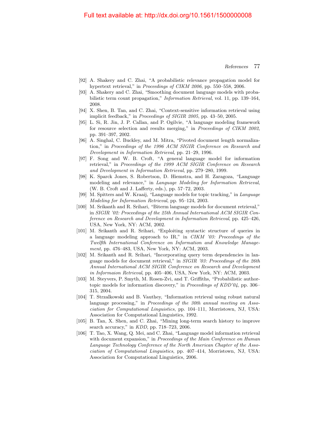- [92] A. Shakery and C. Zhai, "A probabilistic relevance propagation model for hypertext retrieval," in Proceedings of CIKM 2006, pp. 550–558, 2006.
- [93] A. Shakery and C. Zhai, "Smoothing document language models with probabilistic term count propagation," Information Retrieval, vol. 11, pp. 139–164, 2008.
- [94] X. Shen, B. Tan, and C. Zhai, "Context-sensitive information retrieval using implicit feedback," in Proceedings of SIGIR 2005, pp. 43–50, 2005.
- <span id="page-17-1"></span>[95] L. Si, R. Jin, J. P. Callan, and P. Ogilvie, "A language modeling framework for resource selection and results merging," in Proceedings of CIKM 2002, pp. 391–397, 2002.
- <span id="page-17-0"></span>[96] A. Singhal, C. Buckley, and M. Mitra, "Pivoted document length normalization," in Proceedings of the 1996 ACM SIGIR Conference on Research and Development in Information Retrieval, pp. 21–29, 1996.
- [97] F. Song and W. B. Croft, "A general language model for information retrieval," in Proceedings of the 1999 ACM SIGIR Conference on Research and Development in Information Retrieval, pp. 279–280, 1999.
- [98] K. Sparck Jones, S. Robertson, D. Hiemstra, and H. Zaragoza, "Language modeling and relevance," in Language Modeling for Information Retrieval, (W. B. Croft and J. Lafferty, eds.), pp. 57–72, 2003.
- <span id="page-17-2"></span>[99] M. Spitters and W. Kraaij, "Language models for topic tracking," in Language Modeling for Information Retrieval, pp. 95–124, 2003.
- [100] M. Srikanth and R. Srihari, "Biterm language models for document retrieval," in SIGIR '02: Proceedings of the 25th Annual International ACM SIGIR Conference on Research and Development in Information Retrieval, pp. 425–426, USA, New York, NY: ACM, 2002.
- [101] M. Srikanth and R. Srihari, "Exploiting syntactic structure of queries in a language modeling approach to IR," in CIKM '03: Proceedings of the Twelfth International Conference on Information and Knowledge Management, pp. 476–483, USA, New York, NY: ACM, 2003.
- [102] M. Srikanth and R. Srihari, "Incorporating query term dependencies in language models for document retrieval," in SIGIR '03: Proceedings of the 26th Annual International ACM SIGIR Conference on Research and Development in Informaion Retrieval, pp. 405–406, USA, New York, NY: ACM, 2003.
- [103] M. Steyvers, P. Smyth, M. Rosen-Zvi, and T. Griffiths, "Probabilistic authortopic models for information discovery," in Proceedings of KDD'04, pp. 306– 315, 2004.
- [104] T. Strzalkowski and B. Vauthey, "Information retrieval using robust natural language processing," in Proceedings of the 30th annual meeting on Association for Computational Linguistics, pp. 104–111, Morristown, NJ, USA: Association for Computational Linguistics, 1992.
- [105] B. Tan, X. Shen, and C. Zhai, "Mining long-term search history to improve search accuracy," in *KDD*, pp. 718–723, 2006.
- [106] T. Tao, X. Wang, Q. Mei, and C. Zhai, "Language model information retrieval with document expansion," in Proceedings of the Main Conference on Human Language Technology Conference of the North American Chapter of the Association of Computational Linguistics, pp. 407–414, Morristown, NJ, USA: Association for Computational Linguistics, 2006.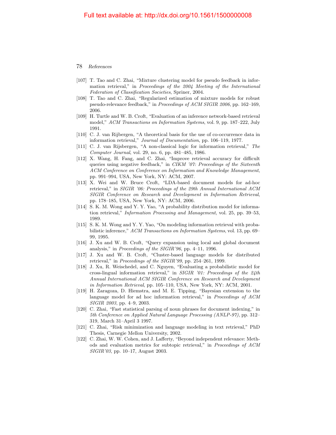- [107] T. Tao and C. Zhai, "Mixture clustering model for pseudo feedback in information retrieval," in Proceedings of the 2004 Meeting of the International Federation of Classification Societies, Spriner, 2004.
- [108] T. Tao and C. Zhai, "Regularized estimation of mixture models for robust pseudo-relevance feedback," in Proceedings of ACM SIGIR 2006, pp. 162–169, 2006.
- <span id="page-18-2"></span>[109] H. Turtle and W. B. Croft, "Evaluation of an inference network-based retrieval model," ACM Transactions on Information Systems, vol. 9, pp. 187–222, July 1991.
- <span id="page-18-3"></span>[110] C. J. van Rijbergen, "A theoretical basis for the use of co-occurrence data in information retrieval," Journal of Documentation, pp. 106–119, 1977.
- <span id="page-18-0"></span>[111] C. J. van Rijsbergen, "A non-classical logic for information retrieval," The Computer Journal, vol. 29, no. 6, pp. 481–485, 1986.
- [112] X. Wang, H. Fang, and C. Zhai, "Improve retrieval accuracy for difficult queries using negative feedback," in CIKM '07: Proceedings of the Sixteenth ACM Conference on Conference on Information and Knowledge Management, pp. 991–994, USA, New York, NY: ACM, 2007.
- [113] X. Wei and W. Bruce Croft, "LDA-based document models for ad-hoc retrieval," in SIGIR '06: Proceedings of the 29th Annual International ACM SIGIR Conference on Research and Development in Information Retrieval, pp. 178–185, USA, New York, NY: ACM, 2006.
- [114] S. K. M. Wong and Y. Y. Yao, "A probability distribution model for information retrieval," Information Processing and Management, vol. 25, pp. 39–53, 1989.
- <span id="page-18-1"></span>[115] S. K. M. Wong and Y. Y. Yao, "On modeling information retrieval with probabilistic inference," ACM Transactions on Information Systems, vol. 13, pp. 69– 99, 1995.
- [116] J. Xu and W. B. Croft, "Query expansion using local and global document analysis," in Proceedings of the SIGIR'96, pp. 4–11, 1996.
- [117] J. Xu and W. B. Croft, "Cluster-based language models for distributed retrieval," in Proceedings of the SIGIR'99, pp. 254–261, 1999.
- [118] J. Xu, R. Weischedel, and C. Nguyen, "Evaluating a probabilistic model for cross-lingual information retrieval," in SIGIR '01: Proceedings of the 24th Annual International ACM SIGIR Conference on Research and Development in Information Retrieval, pp. 105–110, USA, New York, NY: ACM, 2001.
- [119] H. Zaragoza, D. Hiemstra, and M. E. Tipping, "Bayesian extension to the language model for ad hoc information retrieval," in *Proceedings of ACM* SIGIR 2003, pp. 4–9, 2003.
- [120] C. Zhai, "Fast statistical parsing of noun phrases for document indexing," in 5th Conference on Applied Natural Language Processing (ANLP-97), pp. 312– 319, March 31–April 3 1997.
- [121] C. Zhai, "Risk minimization and language modeling in text retrieval," PhD Thesis, Carnegie Mellon University, 2002.
- <span id="page-18-4"></span>[122] C. Zhai, W. W. Cohen, and J. Lafferty, "Beyond independent relevance: Methods and evaluation metrics for subtopic retrieval," in Proceedings of ACM SIGIR'03, pp. 10–17, August 2003.